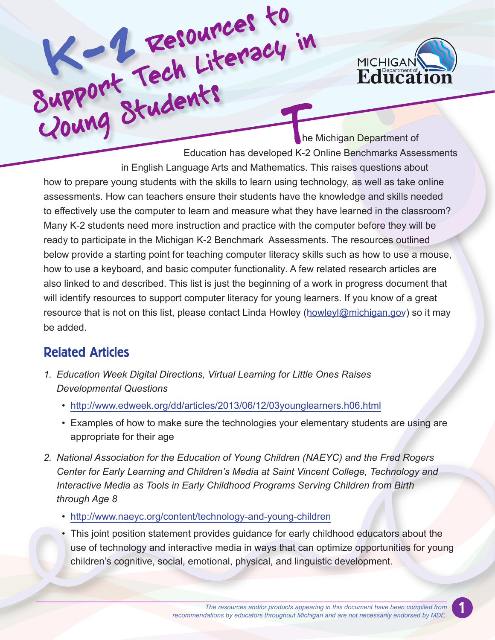

Resources Education has developed K-2 Online Benchmarks Assessments in English Language Arts and Mathematics. This raises questions about how to prepare young students with the skills to learn using technology, as well as take online assessments. How can teachers ensure their students have the knowledge and skills needed to effectively use the computer to learn and measure what they have learned in the classroom? Many K-2 students need more instruction and practice with the computer before they will be ready to participate in the Michigan K-2 Benchmark Assessments. The resources outlined below provide a starting point for teaching computer literacy skills such as how to use a mouse, how to use a keyboard, and basic computer functionality. A few related research articles are also linked to and described. This list is just the beginning of a work in progress document that will identify resources to support computer literacy for young learners. If you know of a great resource that is not on this list, please contact Linda Howley (howley (*dowleyl@michigan.gov*) so it may be added.

## Related Articles

- *1. Education Week Digital Directions, Virtual Learning for Little Ones Raises Developmental Questions*
	- http://www.edweek.org/dd/articles/2013/06/12/03younglearners.h06.html
	- Examples of how to make sure the technologies your elementary students are using are appropriate for their age
- *2. National Association for the Education of Young Children (NAEYC) and the Fred Rogers Center for Early Learning and Children's Media at Saint Vincent College, Technology and Interactive Media as Tools in Early Childhood Programs Serving Children from Birth through Age 8*
	- http://www.naeyc.org/content/technology-and-young-children
	- This joint position statement provides guidance for early childhood educators about the use of technology and interactive media in ways that can optimize opportunities for young children's cognitive, social, emotional, physical, and linguistic development.

1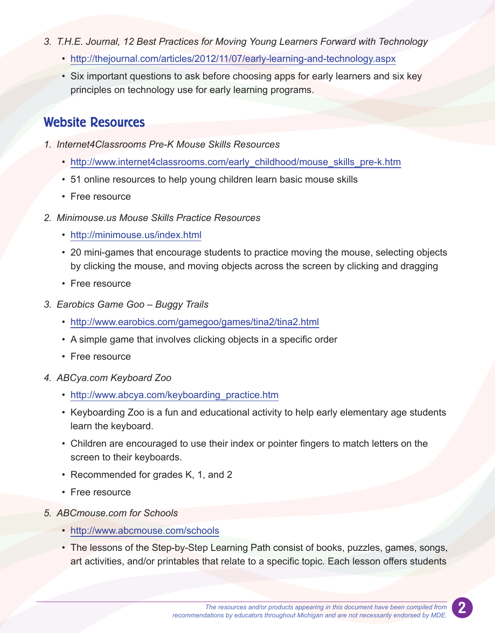- *3. T.H.E. Journal, 12 Best Practices for Moving Young Learners Forward with Technology*
	- http://thejournal.com/articles/2012/11/07/early-learning-and-technology.aspx
	- Six important questions to ask before choosing apps for early learners and six key principles on technology use for early learning programs.

## Website Resources

- *1. Internet4Classrooms Pre-K Mouse Skills Resources*
	- http://www.internet4classrooms.com/early\_childhood/mouse\_skills\_pre-k.htm
	- 51 online resources to help young children learn basic mouse skills
	- Free resource
- *2. Minimouse.us Mouse Skills Practice Resources*
	- http://minimouse.us/index.html
	- 20 mini-games that encourage students to practice moving the mouse, selecting objects by clicking the mouse, and moving objects across the screen by clicking and dragging
	- Free resource
- *3. Earobics Game Goo Buggy Trails*
	- http://www.earobics.com/gamegoo/games/tina2/tina2.html
	- A simple game that involves clicking objects in a specific order
	- Free resource
- *4. ABCya.com Keyboard Zoo*
	- http://www.abcya.com/keyboarding\_practice.htm
	- Keyboarding Zoo is a fun and educational activity to help early elementary age students learn the keyboard.
	- Children are encouraged to use their index or pointer fingers to match letters on the screen to their keyboards.
	- Recommended for grades K, 1, and 2
	- Free resource
- *5. ABCmouse.com for Schools*
	- http://www.abcmouse.com/schools
	- The lessons of the Step-by-Step Learning Path consist of books, puzzles, games, songs, art activities, and/or printables that relate to a specific topic. Each lesson offers students

2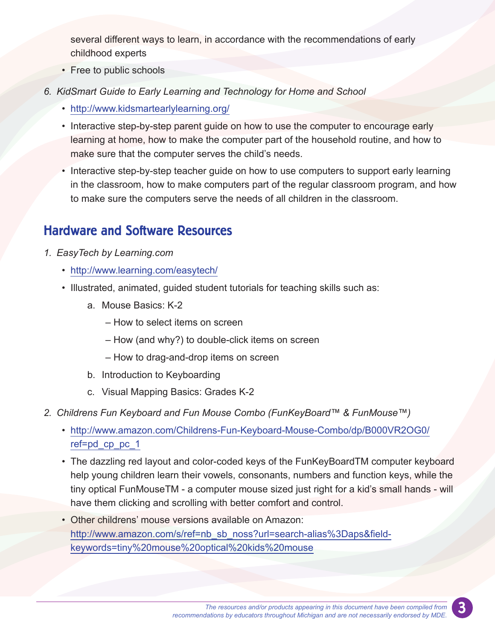several different ways to learn, in accordance with the recommendations of early childhood experts

- Free to public schools
- *6. KidSmart Guide to Early Learning and Technology for Home and School*
	- http://www.kidsmartearlylearning.org/
	- Interactive step-by-step parent guide on how to use the computer to encourage early learning at home, how to make the computer part of the household routine, and how to make sure that the computer serves the child's needs.
	- Interactive step-by-step teacher guide on how to use computers to support early learning in the classroom, how to make computers part of the regular classroom program, and how to make sure the computers serve the needs of all children in the classroom.

## Hardware and Software Resources

- *1. EasyTech by Learning.com* 
	- http://www.learning.com/easytech/
	- Illustrated, animated, guided student tutorials for teaching skills such as:
		- a. Mouse Basics: K-2
			- How to select items on screen
			- How (and why?) to double-click items on screen
			- How to drag-and-drop items on screen
		- b. Introduction to Keyboarding
		- c. Visual Mapping Basics: Grades K-2
- *2. Childrens Fun Keyboard and Fun Mouse Combo (FunKeyBoard™ & FunMouse™)*
	- http://www.amazon.com/Childrens-Fun-Keyboard-Mouse-Combo/dp/B000VR2OG0/ ref=pd\_cp\_pc\_1
	- The dazzling red layout and color-coded keys of the FunKeyBoardTM computer keyboard help young children learn their vowels, consonants, numbers and function keys, while the tiny optical FunMouseTM - a computer mouse sized just right for a kid's small hands - will have them clicking and scrolling with better comfort and control.
	- Other childrens' mouse versions available on Amazon: http://www.amazon.com/s/ref=nb\_sb\_noss?url=search-alias%3Daps&fieldkeywords=tiny%20mouse%20optical%20kids%20mouse